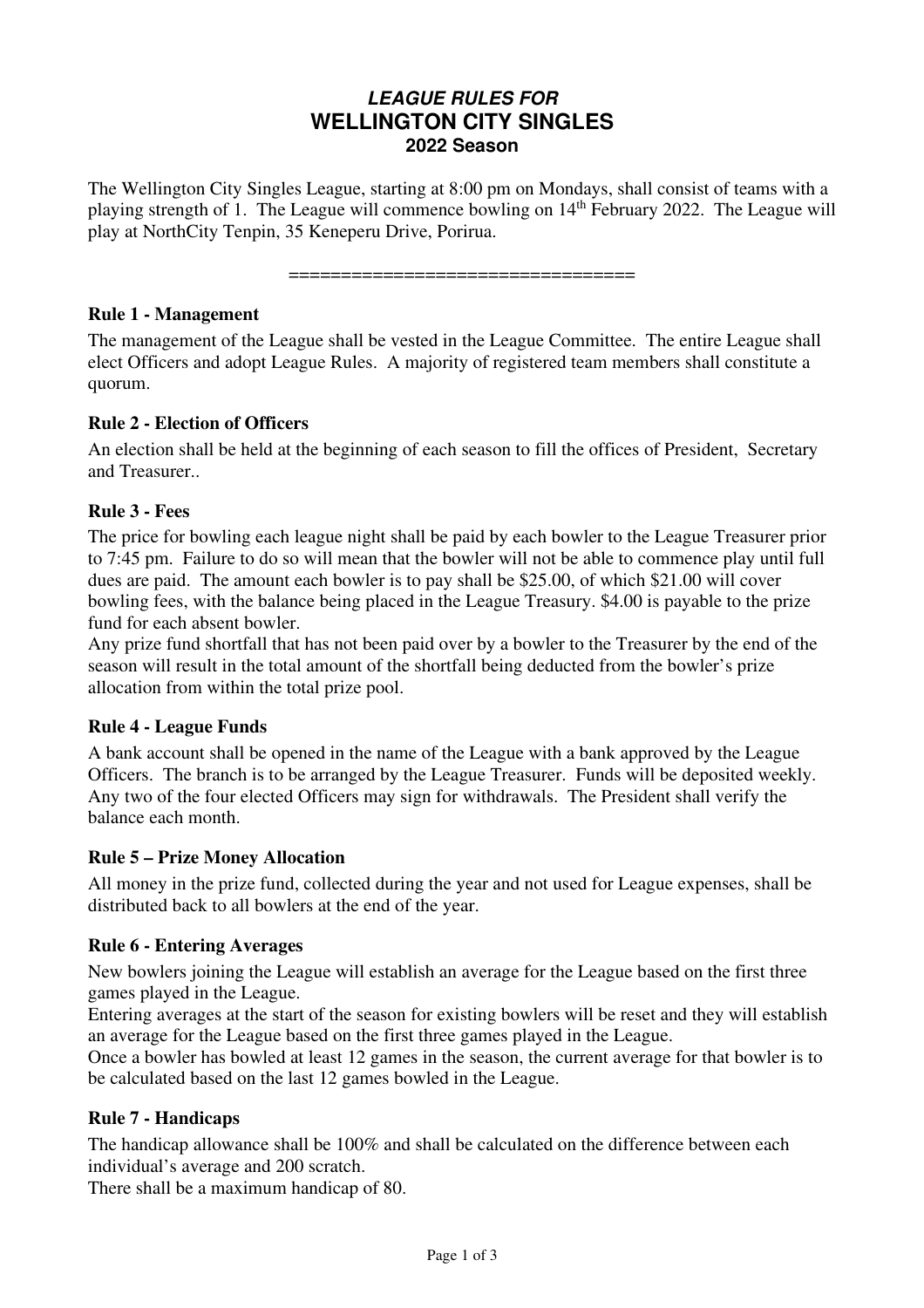# **LEAGUE RULES FOR WELLINGTON CITY SINGLES 2022 Season**

The Wellington City Singles League, starting at 8:00 pm on Mondays, shall consist of teams with a playing strength of 1. The League will commence bowling on 14th February 2022. The League will play at NorthCity Tenpin, 35 Keneperu Drive, Porirua.

=================================

## **Rule 1 - Management**

The management of the League shall be vested in the League Committee. The entire League shall elect Officers and adopt League Rules. A majority of registered team members shall constitute a quorum.

# **Rule 2 - Election of Officers**

An election shall be held at the beginning of each season to fill the offices of President, Secretary and Treasurer..

## **Rule 3 - Fees**

The price for bowling each league night shall be paid by each bowler to the League Treasurer prior to 7:45 pm. Failure to do so will mean that the bowler will not be able to commence play until full dues are paid. The amount each bowler is to pay shall be \$25.00, of which \$21.00 will cover bowling fees, with the balance being placed in the League Treasury. \$4.00 is payable to the prize fund for each absent bowler.

Any prize fund shortfall that has not been paid over by a bowler to the Treasurer by the end of the season will result in the total amount of the shortfall being deducted from the bowler's prize allocation from within the total prize pool.

# **Rule 4 - League Funds**

A bank account shall be opened in the name of the League with a bank approved by the League Officers. The branch is to be arranged by the League Treasurer. Funds will be deposited weekly. Any two of the four elected Officers may sign for withdrawals. The President shall verify the balance each month.

## **Rule 5 – Prize Money Allocation**

All money in the prize fund, collected during the year and not used for League expenses, shall be distributed back to all bowlers at the end of the year.

# **Rule 6 - Entering Averages**

New bowlers joining the League will establish an average for the League based on the first three games played in the League.

Entering averages at the start of the season for existing bowlers will be reset and they will establish an average for the League based on the first three games played in the League.

Once a bowler has bowled at least 12 games in the season, the current average for that bowler is to be calculated based on the last 12 games bowled in the League.

# **Rule 7 - Handicaps**

The handicap allowance shall be 100% and shall be calculated on the difference between each individual's average and 200 scratch.

There shall be a maximum handicap of 80.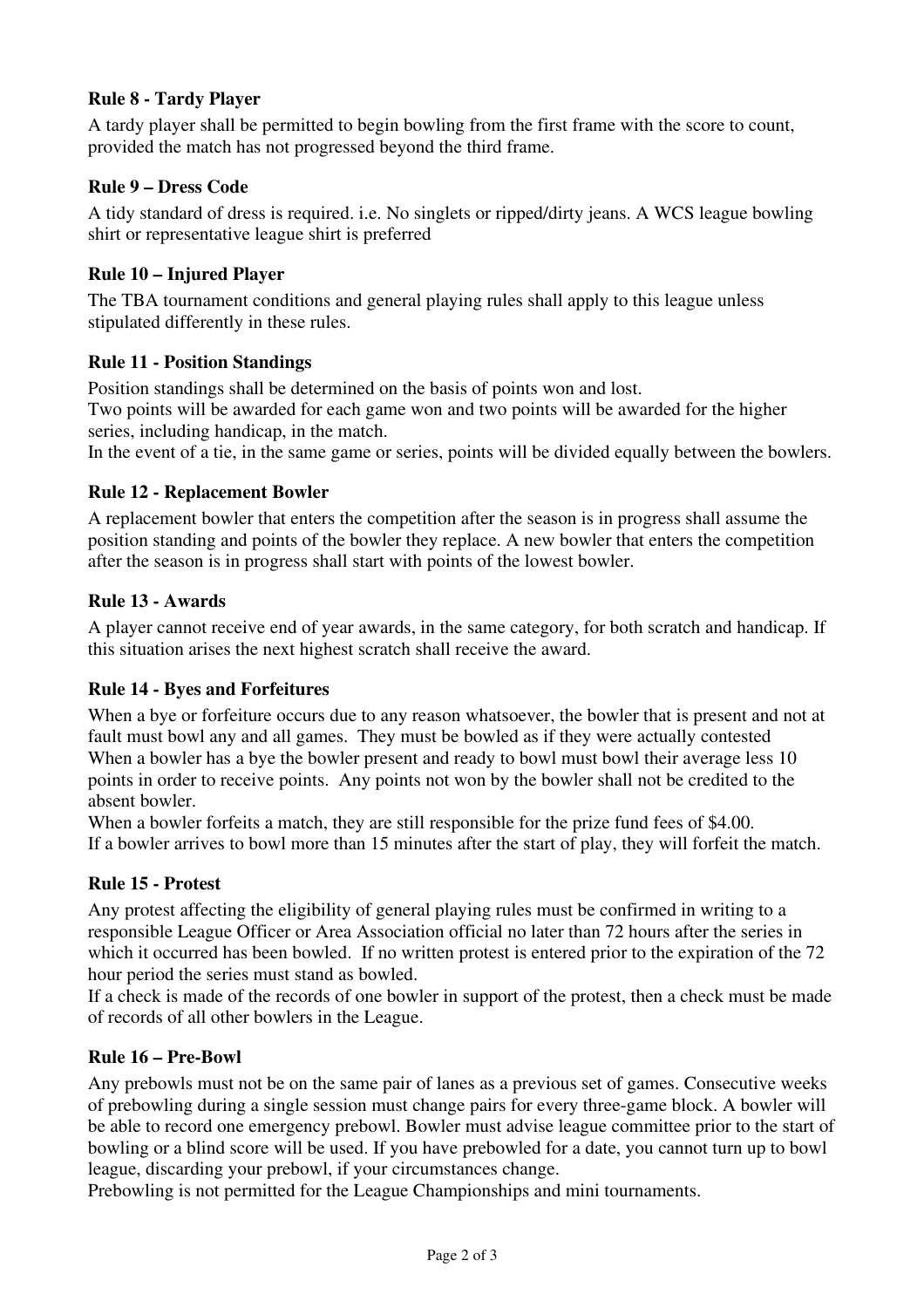# **Rule 8 - Tardy Player**

A tardy player shall be permitted to begin bowling from the first frame with the score to count, provided the match has not progressed beyond the third frame.

# **Rule 9 – Dress Code**

A tidy standard of dress is required. i.e. No singlets or ripped/dirty jeans. A WCS league bowling shirt or representative league shirt is preferred

## **Rule 10 – Injured Player**

The TBA tournament conditions and general playing rules shall apply to this league unless stipulated differently in these rules.

## **Rule 11 - Position Standings**

Position standings shall be determined on the basis of points won and lost. Two points will be awarded for each game won and two points will be awarded for the higher series, including handicap, in the match.

In the event of a tie, in the same game or series, points will be divided equally between the bowlers.

## **Rule 12 - Replacement Bowler**

A replacement bowler that enters the competition after the season is in progress shall assume the position standing and points of the bowler they replace. A new bowler that enters the competition after the season is in progress shall start with points of the lowest bowler.

## **Rule 13 - Awards**

A player cannot receive end of year awards, in the same category, for both scratch and handicap. If this situation arises the next highest scratch shall receive the award.

## **Rule 14 - Byes and Forfeitures**

When a bye or forfeiture occurs due to any reason whatsoever, the bowler that is present and not at fault must bowl any and all games. They must be bowled as if they were actually contested When a bowler has a bye the bowler present and ready to bowl must bowl their average less 10 points in order to receive points. Any points not won by the bowler shall not be credited to the absent bowler.

When a bowler forfeits a match, they are still responsible for the prize fund fees of \$4.00. If a bowler arrives to bowl more than 15 minutes after the start of play, they will forfeit the match.

# **Rule 15 - Protest**

Any protest affecting the eligibility of general playing rules must be confirmed in writing to a responsible League Officer or Area Association official no later than 72 hours after the series in which it occurred has been bowled. If no written protest is entered prior to the expiration of the 72 hour period the series must stand as bowled.

If a check is made of the records of one bowler in support of the protest, then a check must be made of records of all other bowlers in the League.

## **Rule 16 – Pre-Bowl**

Any prebowls must not be on the same pair of lanes as a previous set of games. Consecutive weeks of prebowling during a single session must change pairs for every three-game block. A bowler will be able to record one emergency prebowl. Bowler must advise league committee prior to the start of bowling or a blind score will be used. If you have prebowled for a date, you cannot turn up to bowl league, discarding your prebowl, if your circumstances change.

Prebowling is not permitted for the League Championships and mini tournaments.